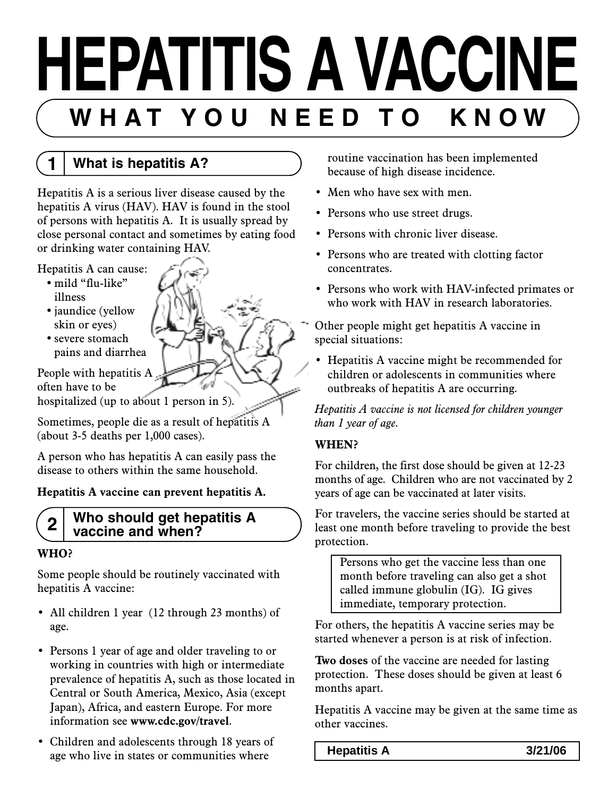# **HEPATITIS A VACCINE** WHAT YOU NEED TO KNOW

**1 What is hepatitis A?**

Hepatitis A is a serious liver disease caused by the hepatitis A virus (HAV). HAV is found in the stool of persons with hepatitis A. It is usually spread by close personal contact and sometimes by eating food or drinking water containing HAV.

- Hepatitis A can cause:
	- mild "flu-like" illness
	- jaundice (yellow skin or eyes)
	- severe stomach pains and diarrhea

People with hepatitis A. often have to be

hospitalized (up to about 1 person in 5).

Sometimes, people die as a result of hepatitis A (about 3-5 deaths per 1,000 cases).

A person who has hepatitis A can easily pass the disease to others within the same household.

#### **Hepatitis A vaccine can prevent hepatitis A.**

#### **2 Who should get hepatitis A vaccine and when?**

#### **WHO?**

Some people should be routinely vaccinated with hepatitis A vaccine:

- All children 1 year (12 through 23 months) of age.
- Persons 1 year of age and older traveling to or working in countries with high or intermediate prevalence of hepatitis A, such as those located in Central or South America, Mexico, Asia (except Japan), Africa, and eastern Europe. For more information see **www.cdc.gov/travel**.
- Children and adolescents through 18 years of age who live in states or communities where

routine vaccination has been implemented because of high disease incidence.

- Men who have sex with men.
- Persons who use street drugs.
- Persons with chronic liver disease.
- Persons who are treated with clotting factor concentrates.
- Persons who work with HAV-infected primates or who work with HAV in research laboratories.

Other people might get hepatitis A vaccine in special situations:

• Hepatitis A vaccine might be recommended for children or adolescents in communities where outbreaks of hepatitis A are occurring.

*Hepatitis A vaccine is not licensed for children younger than 1 year of age.*

#### **WHEN?**

For children, the first dose should be given at 12-23 months of age. Children who are not vaccinated by 2 years of age can be vaccinated at later visits.

For travelers, the vaccine series should be started at least one month before traveling to provide the best protection.

Persons who get the vaccine less than one month before traveling can also get a shot called immune globulin (IG). IG gives immediate, temporary protection.

For others, the hepatitis A vaccine series may be started whenever a person is at risk of infection.

**Two doses** of the vaccine are needed for lasting protection. These doses should be given at least 6 months apart.

Hepatitis A vaccine may be given at the same time as other vaccines.

**Hepatitis A 3/21/06**